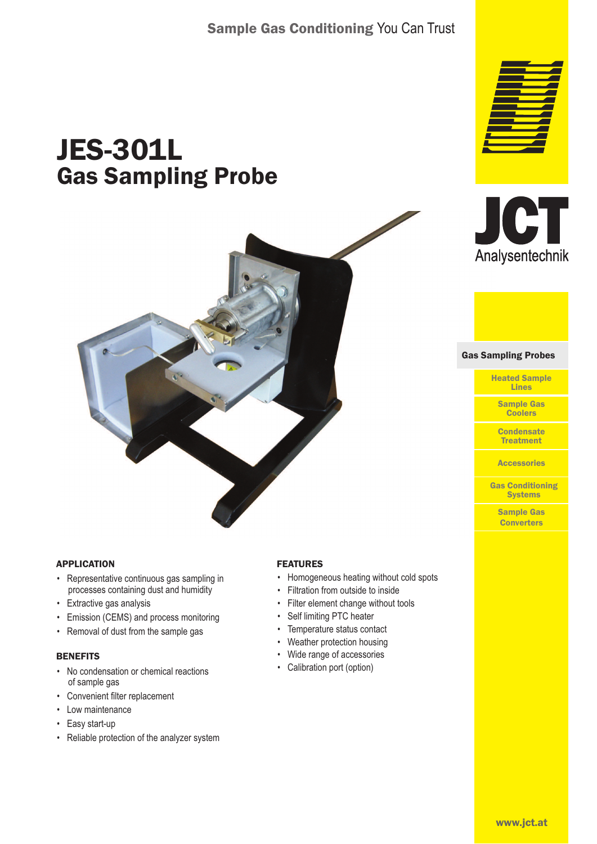# Sample Gas Conditioning You Can Trust

# JES-301L Gas Sampling Probe



#### **APPLICATION**

- Representative continuous gas sampling in processes containing dust and humidity
- Extractive gas analysis
- Emission (CEMS) and process monitoring
- Removal of dust from the sample gas

#### **BENEFITS**

- No condensation or chemical reactions of sample gas
- Convenient filter replacement
- Low maintenance
- Easy start-up
- Reliable protection of the analyzer system

#### FEATURES

- Homogeneous heating without cold spots
- Filtration from outside to inside
- Filter element change without tools
- Self limiting PTC heater
- Temperature status contact
- Weather protection housing
- Wide range of accessories
- Calibration port (option)





Gas Sampling Probes Gas Sampling Probes

Heated Sample Lines

Sample Gas **Coolers** 

**Condensate** Treatment

**Accessories** 

Gas Conditioning **Systems** 

Sample Gas **Converters**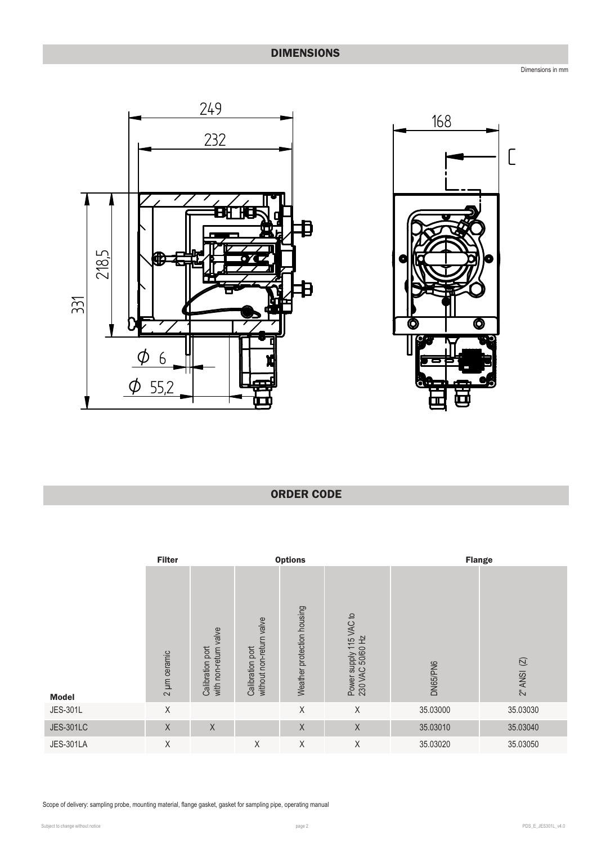# DIMENSIONS

Dimensions in mm





## ORDER CODE

|                  | <b>Filter</b> |                                           | <b>Options</b>                               |                            |                                             |          | <b>Flange</b>                          |  |
|------------------|---------------|-------------------------------------------|----------------------------------------------|----------------------------|---------------------------------------------|----------|----------------------------------------|--|
| <b>Model</b>     | 2 µm ceramic  | with non-return valve<br>Calibration port | without non-return valve<br>Calibration port | Weather protection housing | Power supply 115 VAC to<br>230 VAC 50/60 Hz | DN65/PN6 | $(\overline{\triangle} )$<br>$2"$ ANSI |  |
| <b>JES-301L</b>  | Χ             |                                           |                                              | Χ                          | Χ                                           | 35.03000 | 35.03030                               |  |
| <b>JES-301LC</b> | X             | $\mathsf X$                               |                                              | $\mathsf X$                | $\mathsf X$                                 | 35.03010 | 35.03040                               |  |
| <b>JES-301LA</b> | Χ             |                                           | Χ                                            | Χ                          | Χ                                           | 35.03020 | 35.03050                               |  |

Scope of delivery: sampling probe, mounting material, flange gasket, gasket for sampling pipe, operating manual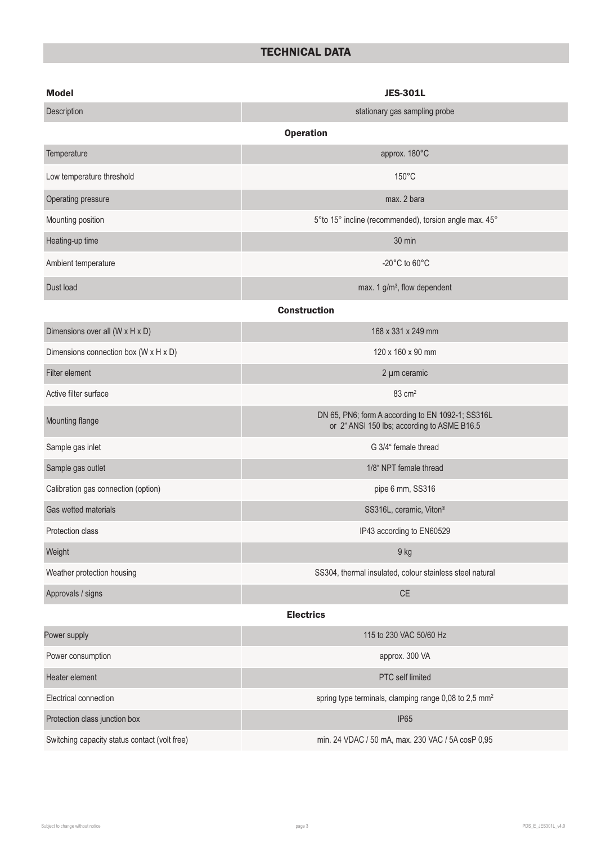# TECHNICAL DATA

| <b>Model</b>                                  | <b>JES-301L</b>                                                                                  |  |  |  |  |  |
|-----------------------------------------------|--------------------------------------------------------------------------------------------------|--|--|--|--|--|
| Description                                   | stationary gas sampling probe                                                                    |  |  |  |  |  |
|                                               | <b>Operation</b>                                                                                 |  |  |  |  |  |
| Temperature                                   | approx. 180°C                                                                                    |  |  |  |  |  |
| Low temperature threshold                     | $150^{\circ}$ C                                                                                  |  |  |  |  |  |
| Operating pressure                            | max. 2 bara                                                                                      |  |  |  |  |  |
| Mounting position                             | 5° to 15° incline (recommended), torsion angle max. 45°                                          |  |  |  |  |  |
| Heating-up time                               | 30 min                                                                                           |  |  |  |  |  |
| Ambient temperature                           | -20 $^{\circ}$ C to 60 $^{\circ}$ C                                                              |  |  |  |  |  |
| Dust load                                     | max. 1 g/m <sup>3</sup> , flow dependent                                                         |  |  |  |  |  |
|                                               | <b>Construction</b>                                                                              |  |  |  |  |  |
| Dimensions over all (W x H x D)               | 168 x 331 x 249 mm                                                                               |  |  |  |  |  |
| Dimensions connection box (W x H x D)         | 120 x 160 x 90 mm                                                                                |  |  |  |  |  |
| Filter element                                | 2 µm ceramic                                                                                     |  |  |  |  |  |
| Active filter surface                         | 83 cm <sup>2</sup>                                                                               |  |  |  |  |  |
| Mounting flange                               | DN 65, PN6; form A according to EN 1092-1; SS316L<br>or 2" ANSI 150 lbs; according to ASME B16.5 |  |  |  |  |  |
| Sample gas inlet                              | G 3/4" female thread                                                                             |  |  |  |  |  |
| Sample gas outlet                             | 1/8" NPT female thread                                                                           |  |  |  |  |  |
| Calibration gas connection (option)           | pipe 6 mm, SS316                                                                                 |  |  |  |  |  |
| Gas wetted materials                          | SS316L, ceramic, Viton®                                                                          |  |  |  |  |  |
| Protection class                              | IP43 according to EN60529                                                                        |  |  |  |  |  |
| Weight                                        | 9 kg                                                                                             |  |  |  |  |  |
| Weather protection housing                    | SS304, thermal insulated, colour stainless steel natural                                         |  |  |  |  |  |
| Approvals / signs                             | $\mathsf{CE}$                                                                                    |  |  |  |  |  |
| <b>Electrics</b>                              |                                                                                                  |  |  |  |  |  |
| Power supply                                  | 115 to 230 VAC 50/60 Hz                                                                          |  |  |  |  |  |
| Power consumption                             | approx. 300 VA                                                                                   |  |  |  |  |  |
| Heater element                                | PTC self limited                                                                                 |  |  |  |  |  |
| Electrical connection                         | spring type terminals, clamping range 0,08 to 2,5 mm <sup>2</sup>                                |  |  |  |  |  |
| Protection class junction box                 | <b>IP65</b>                                                                                      |  |  |  |  |  |
| Switching capacity status contact (volt free) | min. 24 VDAC / 50 mA, max. 230 VAC / 5A cosP 0,95                                                |  |  |  |  |  |